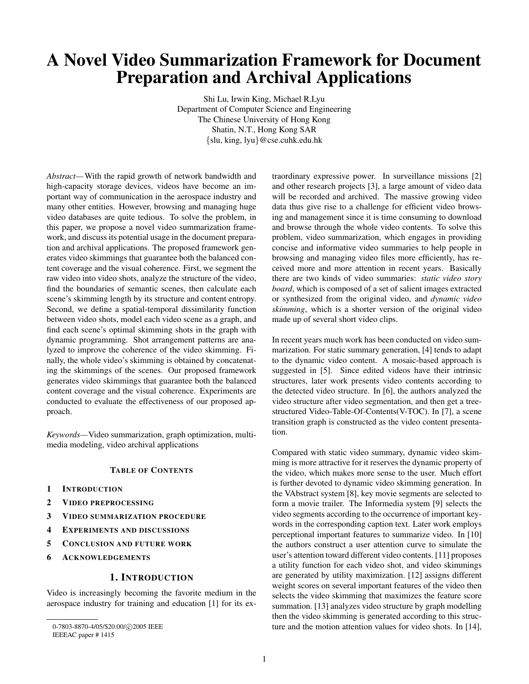# **A Novel Video Summarization Framework for Document Preparation and Archival Applications**

Shi Lu, Irwin King, Michael R.Lyu Department of Computer Science and Engineering The Chinese University of Hong Kong Shatin, N.T., Hong Kong SAR {slu, king, lyu}@cse.cuhk.edu.hk

*Abstract—*With the rapid growth of network bandwidth and high-capacity storage devices, videos have become an important way of communication in the aerospace industry and many other entities. However, browsing and managing huge video databases are quite tedious. To solve the problem, in this paper, we propose a novel video summarization framework, and discuss its potential usage in the document preparation and archival applications. The proposed framework generates video skimmings that guarantee both the balanced content coverage and the visual coherence. First, we segment the raw video into video shots, analyze the structure of the video, find the boundaries of semantic scenes, then calculate each scene's skimming length by its structure and content entropy. Second, we define a spatial-temporal dissimilarity function between video shots, model each video scene as a graph, and find each scene's optimal skimming shots in the graph with dynamic programming. Shot arrangement patterns are analyzed to improve the coherence of the video skimming. Finally, the whole video's skimming is obtained by concatenating the skimmings of the scenes. Our proposed framework generates video skimmings that guarantee both the balanced content coverage and the visual coherence. Experiments are conducted to evaluate the effectiveness of our proposed approach.

*Keywords—*Video summarization, graph optimization, multimedia modeling, video archival applications

# **TABLE OF CONTENTS**

- **1 INTRODUCTION**
- **2 VIDEO PREPROCESSING**
- **3 VIDEO SUMMARIZATION PROCEDURE**
- **4 EXPERIMENTS AND DISCUSSIONS**
- **5 CONCLUSION AND FUTURE WORK**
- **6 ACKNOWLEDGEMENTS**

# **1. INTRODUCTION**

Video is increasingly becoming the favorite medium in the aerospace industry for training and education [1] for its extraordinary expressive power. In surveillance missions [2] and other research projects [3], a large amount of video data will be recorded and archived. The massive growing video data thus give rise to a challenge for efficient video browsing and management since it is time consuming to download and browse through the whole video contents. To solve this problem, video summarization, which engages in providing concise and informative video summaries to help people in browsing and managing video files more efficiently, has received more and more attention in recent years. Basically there are two kinds of video summaries: *static video story board*, which is composed of a set of salient images extracted or synthesized from the original video, and *dynamic video skimming*, which is a shorter version of the original video made up of several short video clips.

In recent years much work has been conducted on video summarization. For static summary generation, [4] tends to adapt to the dynamic video content. A mosaic-based approach is suggested in [5]. Since edited videos have their intrinsic structures, later work presents video contents according to the detected video structure. In [6], the authors analyzed the video structure after video segmentation, and then get a treestructured Video-Table-Of-Contents(V-TOC). In [7], a scene transition graph is constructed as the video content presentation.

Compared with static video summary, dynamic video skimming is more attractive for it reserves the dynamic property of the video, which makes more sense to the user. Much effort is further devoted to dynamic video skimming generation. In the VAbstract system [8], key movie segments are selected to form a movie trailer. The Informedia system [9] selects the video segments according to the occurrence of important keywords in the corresponding caption text. Later work employs perceptional important features to summarize video. In [10] the authors construct a user attention curve to simulate the user's attention toward different video contents. [11] proposes a utility function for each video shot, and video skimmings are generated by utility maximization. [12] assigns different weight scores on several important features of the video then selects the video skimming that maximizes the feature score summation. [13] analyzes video structure by graph modelling then the video skimming is generated according to this structure and the motion attention values for video shots. In [14],

<sup>0-7803-8870-4/05/\$20.00/@2005</sup> IEEE IEEEAC paper # 1415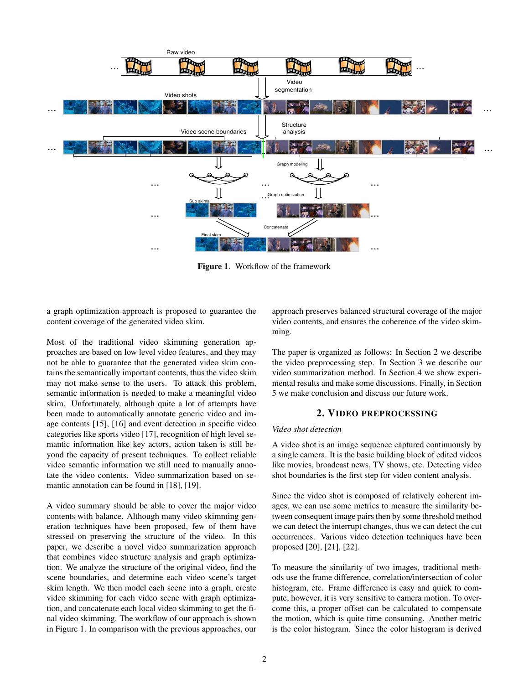

**Figure 1**. Workflow of the framework

a graph optimization approach is proposed to guarantee the content coverage of the generated video skim.

Most of the traditional video skimming generation approaches are based on low level video features, and they may not be able to guarantee that the generated video skim contains the semantically important contents, thus the video skim may not make sense to the users. To attack this problem, semantic information is needed to make a meaningful video skim. Unfortunately, although quite a lot of attempts have been made to automatically annotate generic video and image contents [15], [16] and event detection in specific video categories like sports video [17], recognition of high level semantic information like key actors, action taken is still beyond the capacity of present techniques. To collect reliable video semantic information we still need to manually annotate the video contents. Video summarization based on semantic annotation can be found in [18], [19].

A video summary should be able to cover the major video contents with balance. Although many video skimming generation techniques have been proposed, few of them have stressed on preserving the structure of the video. In this paper, we describe a novel video summarization approach that combines video structure analysis and graph optimization. We analyze the structure of the original video, find the scene boundaries, and determine each video scene's target skim length. We then model each scene into a graph, create video skimming for each video scene with graph optimization, and concatenate each local video skimming to get the final video skimming. The workflow of our approach is shown in Figure 1. In comparison with the previous approaches, our approach preserves balanced structural coverage of the major video contents, and ensures the coherence of the video skimming.

The paper is organized as follows: In Section 2 we describe the video preprocessing step. In Section 3 we describe our video summarization method. In Section 4 we show experimental results and make some discussions. Finally, in Section 5 we make conclusion and discuss our future work.

# **2. VIDEO PREPROCESSING**

#### *Video shot detection*

A video shot is an image sequence captured continuously by a single camera. It is the basic building block of edited videos like movies, broadcast news, TV shows, etc. Detecting video shot boundaries is the first step for video content analysis.

Since the video shot is composed of relatively coherent images, we can use some metrics to measure the similarity between consequent image pairs then by some threshold method we can detect the interrupt changes, thus we can detect the cut occurrences. Various video detection techniques have been proposed [20], [21], [22].

To measure the similarity of two images, traditional methods use the frame difference, correlation/intersection of color histogram, etc. Frame difference is easy and quick to compute, however, it is very sensitive to camera motion. To overcome this, a proper offset can be calculated to compensate the motion, which is quite time consuming. Another metric is the color histogram. Since the color histogram is derived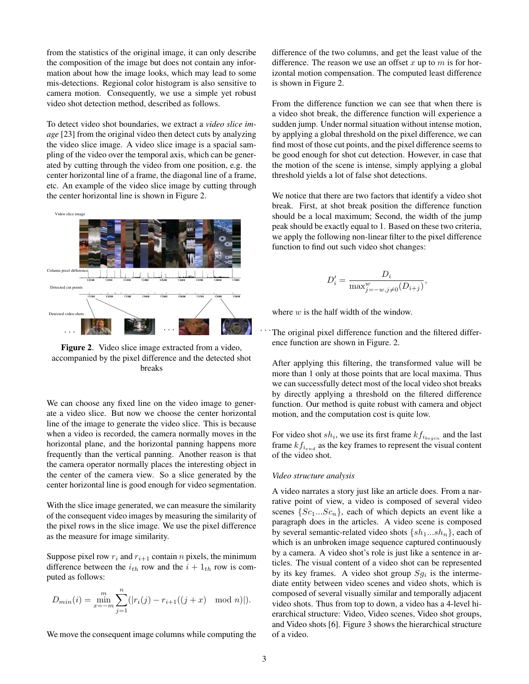from the statistics of the original image, it can only describe the composition of the image but does not contain any information about how the image looks, which may lead to some mis-detections. Regional color histogram is also sensitive to camera motion. Consequently, we use a simple yet robust video shot detection method, described as follows.

To detect video shot boundaries, we extract a *video slice image* [23] from the original video then detect cuts by analyzing the video slice image. A video slice image is a spacial sampling of the video over the temporal axis, which can be generated by cutting through the video from one position, e.g. the center horizontal line of a frame, the diagonal line of a frame, etc. An example of the video slice image by cutting through the center horizontal line is shown in Figure 2.



**Figure 2**. Video slice image extracted from a video, accompanied by the pixel difference and the detected shot breaks

We can choose any fixed line on the video image to generate a video slice. But now we choose the center horizontal line of the image to generate the video slice. This is because when a video is recorded, the camera normally moves in the horizontal plane, and the horizontal panning happens more frequently than the vertical panning. Another reason is that the camera operator normally places the interesting object in the center of the camera view. So a slice generated by the center horizontal line is good enough for video segmentation.

With the slice image generated, we can measure the similarity of the consequent video images by measuring the similarity of the pixel rows in the slice image. We use the pixel difference as the measure for image similarity.

Suppose pixel row  $r_i$  and  $r_{i+1}$  contain n pixels, the minimum difference between the  $i_{th}$  row and the  $i + 1_{th}$  row is computed as follows:

$$
D_{min}(i) = \min_{x=-m}^{m} \sum_{j=1}^{n} (|r_i(j) - r_{i+1}((j+x) \mod n)|).
$$

We move the consequent image columns while computing the

difference of the two columns, and get the least value of the difference. The reason we use an offset x up to m is for horizontal motion compensation. The computed least difference is shown in Figure 2.

From the difference function we can see that when there is a video shot break, the difference function will experience a sudden jump. Under normal situation without intense motion, by applying a global threshold on the pixel difference, we can find most of those cut points, and the pixel difference seemsto be good enough for shot cut detection. However, in case that the motion of the scene is intense, simply applying a global threshold yields a lot of false shot detections.

We notice that there are two factors that identify a video shot break. First, at shot break position the difference function should be a local maximum; Second, the width of the jump peak should be exactly equal to 1. Based on these two criteria, we apply the following non-linear filter to the pixel difference function to find out such video shot changes:

$$
D'_{i} = \frac{D_{i}}{\max_{j=-w, j\neq 0}^{w}(D_{i+j})},
$$

where  $w$  is the half width of the window.

The original pixel difference function and the filtered difference function are shown in Figure. 2.

After applying this filtering, the transformed value will be more than 1 only at those points that are local maxima. Thus we can successfully detect most of the local video shot breaks by directly applying a threshold on the filtered difference function. Our method is quite robust with camera and object motion, and the computation cost is quite low.

For video shot  $sh_i$ , we use its first frame  $kf_{i_{begin}}$  and the last frame  $k f_{i_{end}}$  as the key frames to represent the visual content of the video shot.

#### *Video structure analysis*

A video narrates a story just like an article does. From a narrative point of view, a video is composed of several video scenes  $\{Sc_1...Sc_n\}$ , each of which depicts an event like a paragraph does in the articles. A video scene is composed by several semantic-related video shots  $\{sh_1...sh_n\}$ , each of which is an unbroken image sequence captured continuously by a camera. A video shot's role is just like a sentence in articles. The visual content of a video shot can be represented by its key frames. A video shot group  $Sg_i$  is the intermediate entity between video scenes and video shots, which is composed of several visually similar and temporally adjacent video shots. Thus from top to down, a video has a 4-level hierarchical structure: Video, Video scenes, Video shot groups, and Video shots [6]. Figure 3 shows the hierarchical structure of a video.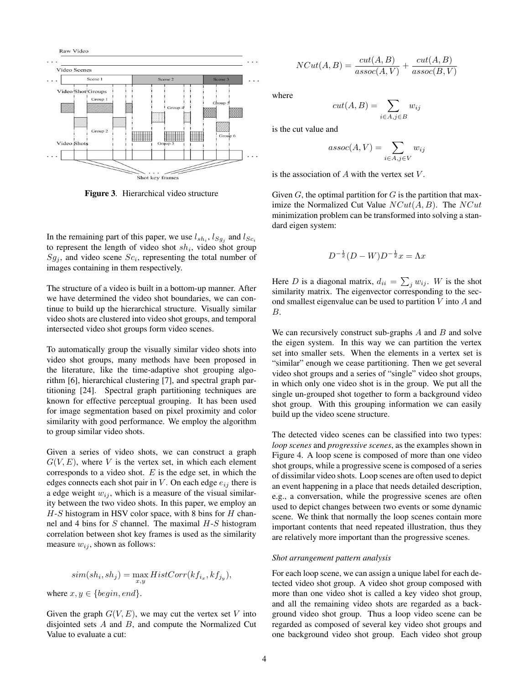

**Figure 3**. Hierarchical video structure

In the remaining part of this paper, we use  $l_{sh_i}$ ,  $l_{Sg_j}$  and  $l_{Sc_i}$ to represent the length of video shot  $sh_i$ , video shot group  $Sg_j$ , and video scene  $Sc_i$ , representing the total number of images containing in them respectively.

The structure of a video is built in a bottom-up manner. After we have determined the video shot boundaries, we can continue to build up the hierarchical structure. Visually similar video shots are clustered into video shot groups, and temporal intersected video shot groups form video scenes.

To automatically group the visually similar video shots into video shot groups, many methods have been proposed in the literature, like the time-adaptive shot grouping algorithm [6], hierarchical clustering [7], and spectral graph partitioning [24]. Spectral graph partitioning techniques are known for effective perceptual grouping. It has been used for image segmentation based on pixel proximity and color similarity with good performance. We employ the algorithm to group similar video shots.

Given a series of video shots, we can construct a graph  $G(V, E)$ , where V is the vertex set, in which each element corresponds to a video shot.  $E$  is the edge set, in which the edges connects each shot pair in  $V$ . On each edge  $e_{ij}$  there is a edge weight  $w_{ij}$ , which is a measure of the visual similarity between the two video shots. In this paper, we employ an  $H-S$  histogram in HSV color space, with 8 bins for  $H$  channel and 4 bins for  $S$  channel. The maximal  $H-S$  histogram correlation between shot key frames is used as the similarity measure  $w_{ij}$ , shown as follows:

$$
sim(shi, shj) = \max_{x,y} HistCorr(kfix, kfjy),
$$
  
where  $x, y \in \{begin, and\}.$ 

Given the graph  $G(V, E)$ , we may cut the vertex set V into disjointed sets  $A$  and  $B$ , and compute the Normalized Cut Value to evaluate a cut:

$$
NCut(A, B) = \frac{cut(A, B)}{assoc(A, V)} + \frac{cut(A, B)}{assoc(B, V)}
$$

where

$$
cut(A, B) = \sum_{i \in A, j \in B} w_{ij}
$$

is the cut value and

$$
assoc(A, V) = \sum_{i \in A, j \in V} w_{ij}
$$

is the association of  $A$  with the vertex set  $V$ .

Given  $G$ , the optimal partition for  $G$  is the partition that maximize the Normalized Cut Value  $NCut(A, B)$ . The  $NCut$ minimization problem can be transformed into solving a standard eigen system:

$$
D^{-\frac{1}{2}}(D-W)D^{-\frac{1}{2}}x = \Lambda x
$$

Here D is a diagonal matrix,  $d_{ii} = \sum_j w_{ij}$ . W is the shot similarity matrix. The eigenvector corresponding to the second smallest eigenvalue can be used to partition  $V$  into  $A$  and B.

We can recursively construct sub-graphs  $A$  and  $B$  and solve the eigen system. In this way we can partition the vertex set into smaller sets. When the elements in a vertex set is "similar" enough we cease partitioning. Then we get several video shot groups and a series of "single" video shot groups, in which only one video shot is in the group. We put all the single un-grouped shot together to form a background video shot group. With this grouping information we can easily build up the video scene structure.

The detected video scenes can be classified into two types: *loop scenes* and *progressive scenes*, as the examples shown in Figure 4. A loop scene is composed of more than one video shot groups, while a progressive scene is composed of a series of dissimilar video shots. Loop scenes are often used to depict an event happening in a place that needs detailed description, e.g., a conversation, while the progressive scenes are often used to depict changes between two events or some dynamic scene. We think that normally the loop scenes contain more important contents that need repeated illustration, thus they are relatively more important than the progressive scenes.

#### *Shot arrangement pattern analysis*

For each loop scene, we can assign a unique label for each detected video shot group. A video shot group composed with more than one video shot is called a key video shot group, and all the remaining video shots are regarded as a background video shot group. Thus a loop video scene can be regarded as composed of several key video shot groups and one background video shot group. Each video shot group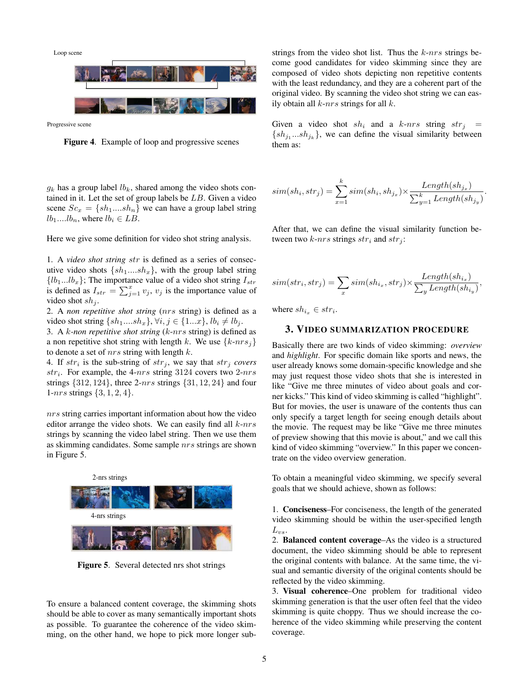Loop scene



Progressive scene

**Figure 4**. Example of loop and progressive scenes

 $g_k$  has a group label  $lb_k$ , shared among the video shots contained in it. Let the set of group labels be  $LB$ . Given a video scene  $Sc_x = \{sh_1....sh_n\}$  we can have a group label string  $lb_1...lb_n$ , where  $lb_i \in LB$ .

Here we give some definition for video shot string analysis.

1. A *video shot string* str is defined as a series of consecutive video shots  $\{sh_1...sh_x\}$ , with the group label string  ${l_1...l_b}$ ; The importance value of a video shot string  $I_{str}$ is defined as  $I_{str} = \sum_{j=1}^{x} v_j$ ,  $v_j$  is the importance value of video shot  $sh_i$ .

2. A *non repetitive shot string* (nrs string) is defined as a video shot string  $\{sh_1...sh_x\}, \forall i, j \in \{1...x\}, lb_i \neq lb_j.$ 

3. A k*-non repetitive shot string* (k-nrs string) is defined as a non repetitive shot string with length k. We use  $\{k\text{-}nrs_j\}$ to denote a set of  $nrs$  string with length  $k$ .

4. If  $str_i$  is the sub-string of  $str_j$ , we say that  $str_j$  *covers*  $str_i$ . For example, the 4-nrs string 3124 covers two 2-nrs strings  $\{312, 124\}$ , three 2-nrs strings  $\{31, 12, 24\}$  and four 1-nrs strings  $\{3, 1, 2, 4\}.$ 

nrs string carries important information about how the video editor arrange the video shots. We can easily find all  $k$ -nrs strings by scanning the video label string. Then we use them as skimming candidates. Some sample nrs strings are shown in Figure 5.



**Figure 5**. Several detected nrs shot strings

To ensure a balanced content coverage, the skimming shots should be able to cover as many semantically important shots as possible. To guarantee the coherence of the video skimming, on the other hand, we hope to pick more longer substrings from the video shot list. Thus the  $k$ -nrs strings become good candidates for video skimming since they are composed of video shots depicting non repetitive contents with the least redundancy, and they are a coherent part of the original video. By scanning the video shot string we can easily obtain all  $k$ -nrs strings for all  $k$ .

Given a video shot  $sh_i$  and a  $k$ -nrs string  $str_i$  =  $\{sh_{j_1}...sh_{j_k}\}\$ , we can define the visual similarity between them as:

$$
sim(sh_i, str_j) = \sum_{x=1}^{k} sim(sh_i, sh_{j_x}) \times \frac{Length(sh_{j_x})}{\sum_{y=1}^{k} Length(sh_{j_y})}.
$$

After that, we can define the visual similarity function between two  $k$ -nrs strings  $str_i$  and  $str_j$ :

$$
sim(str_i, str_j) = \sum_{x} sim(sh_{i_x}, str_j) \times \frac{Length(sh_{i_x})}{\sum_{y} Length(sh_{i_y})},
$$

where  $sh_{i_x} \in str_i$ .

#### **3. VIDEO SUMMARIZATION PROCEDURE**

Basically there are two kinds of video skimming: *overview* and *highlight*. For specific domain like sports and news, the user already knows some domain-specific knowledge and she may just request those video shots that she is interested in like "Give me three minutes of video about goals and corner kicks." This kind of video skimming is called "highlight". But for movies, the user is unaware of the contents thus can only specify a target length for seeing enough details about the movie. The request may be like "Give me three minutes of preview showing that this movie is about," and we call this kind of video skimming "overview." In this paper we concentrate on the video overview generation.

To obtain a meaningful video skimming, we specify several goals that we should achieve, shown as follows:

1. **Conciseness**–For conciseness, the length of the generated video skimming should be within the user-specified length  $L_{vs}.$ 

2. **Balanced content coverage**–As the video is a structured document, the video skimming should be able to represent the original contents with balance. At the same time, the visual and semantic diversity of the original contents should be reflected by the video skimming.

3. **Visual coherence**–One problem for traditional video skimming generation is that the user often feel that the video skimming is quite choppy. Thus we should increase the coherence of the video skimming while preserving the content coverage.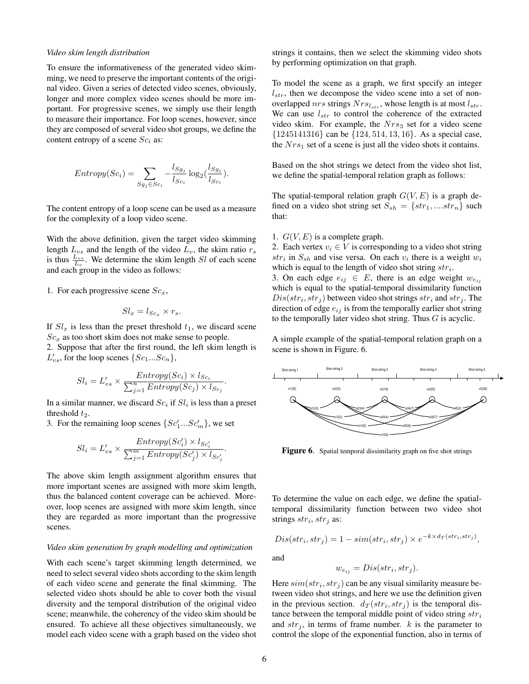#### *Video skim length distribution*

To ensure the informativeness of the generated video skimming, we need to preserve the important contents of the original video. Given a series of detected video scenes, obviously, longer and more complex video scenes should be more important. For progressive scenes, we simply use their length to measure their importance. For loop scenes, however, since they are composed of several video shot groups, we define the content entropy of a scene  $Sc<sub>i</sub>$  as:

$$
Entropy(Sc_i) = \sum_{Sg_j \in Sc_i} -\frac{l_{Sg_j}}{l_{Sc_i}} \log_2(\frac{l_{Sg_j}}{l_{Sc_i}}).
$$

The content entropy of a loop scene can be used as a measure for the complexity of a loop video scene.

With the above definition, given the target video skimming length  $L_{vs}$  and the length of the video  $L_v$ , the skim ratio  $r_s$ is thus  $\frac{L_{vs}}{L_v}$ . We determine the skim length *Sl* of each scene and each group in the video as follows:

1. For each progressive scene  $Sc_x$ ,

$$
Sl_x = l_{Sc_x} \times r_s.
$$

If  $Sl_x$  is less than the preset threshold  $t_1$ , we discard scene  $Sc_x$  as too short skim does not make sense to people.

2. Suppose that after the first round, the left skim length is  $L'_{vs}$ , for the loop scenes  $\{Sc_1...Sc_n\}$ ,

$$
Sl_i = L'_{vs} \times \frac{Entropy(Sc_i) \times l_{Sc_i}}{\sum_{j=1}^{n}Entropy(Sc_j) \times l_{Sc_j}}.
$$

In a similar manner, we discard  $Sc<sub>i</sub>$  if  $Sl<sub>i</sub>$  is less than a preset threshold  $t_2$ .

3. For the remaining loop scenes  $\{Sc'_1...Sc'_m\}$ , we set

$$
Sl_i = L'_{vs} \times \frac{Entropy(Sc'_i) \times l_{Sc'_i}}{\sum_{j=1}^{m}Entropy(Sc'_j) \times l_{Sc'_j}}.
$$

The above skim length assignment algorithm ensures that more important scenes are assigned with more skim length, thus the balanced content coverage can be achieved. Moreover, loop scenes are assigned with more skim length, since they are regarded as more important than the progressive scenes.

#### *Video skim generation by graph modelling and optimization*

With each scene's target skimming length determined, we need to select several video shots according to the skim length of each video scene and generate the final skimming. The selected video shots should be able to cover both the visual diversity and the temporal distribution of the original video scene; meanwhile, the coherency of the video skim should be ensured. To achieve all these objectives simultaneously, we model each video scene with a graph based on the video shot strings it contains, then we select the skimming video shots by performing optimization on that graph.

To model the scene as a graph, we first specify an integer  $l_{str}$ , then we decompose the video scene into a set of nonoverlapped nrs strings  $Nrs_{l_{str}}$ , whose length is at most  $l_{str}$ . We can use  $l_{str}$  to control the coherence of the extracted video skim. For example, the  $Nrs<sub>3</sub>$  set for a video scene  $\{1245141316\}$  can be  $\{124, 514, 13, 16\}$ . As a special case, the  $Nrs_1$  set of a scene is just all the video shots it contains.

Based on the shot strings we detect from the video shot list, we define the spatial-temporal relation graph as follows:

The spatial-temporal relation graph  $G(V, E)$  is a graph defined on a video shot string set  $S_{sh} = \{str_1, \ldots str_n\}$  such that:

1.  $G(V, E)$  is a complete graph.

2. Each vertex  $v_i \in V$  is corresponding to a video shot string  $str_i$  in  $S_{sh}$  and vise versa. On each  $v_i$  there is a weight  $w_i$ which is equal to the length of video shot string  $str_i$ .

3. On each edge  $e_{ij} \in E$ , there is an edge weight  $w_{e_{ij}}$ which is equal to the spatial-temporal dissimilarity function  $Dis(str_i, str_j)$  between video shot strings  $str_i$  and  $str_j$ . The direction of edge  $e_{ij}$  is from the temporally earlier shot string to the temporally later video shot string. Thus G is acyclic.

A simple example of the spatial-temporal relation graph on a scene is shown in Figure. 6.



Figure 6. Spatial temporal dissimilarity graph on five shot strings

To determine the value on each edge, we define the spatialtemporal dissimilarity function between two video shot strings  $str_i, str_j$  as:

$$
Dis(str_i, str_j) = 1 - sim(str_i, str_j) \times e^{-k \times d_T(str_i, str_j)},
$$

and

$$
w_{e_{ij}} = Dis(str_i, str_j).
$$

Here  $\text{sim}(str_i, str_j)$  can be any visual similarity measure between video shot strings, and here we use the definition given in the previous section.  $d_T(str_i, str_j)$  is the temporal distance between the temporal middle point of video string  $str<sub>i</sub>$ and  $str<sub>j</sub>$ , in terms of frame number. k is the parameter to control the slope of the exponential function, also in terms of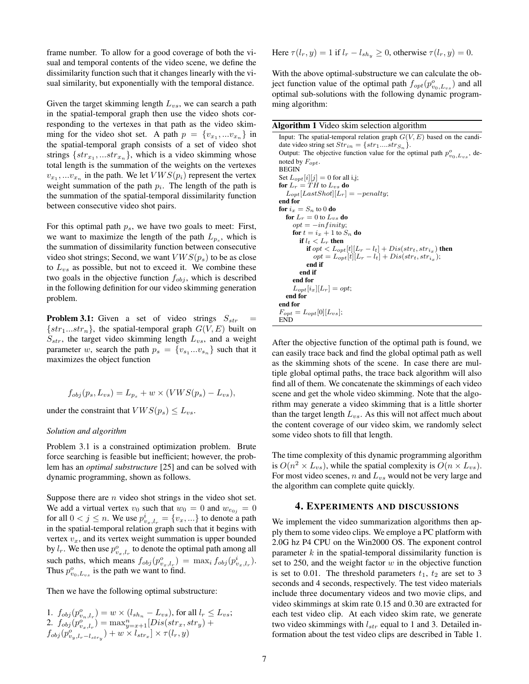frame number. To allow for a good coverage of both the visual and temporal contents of the video scene, we define the dissimilarity function such that it changes linearly with the visual similarity, but exponentially with the temporal distance.

Given the target skimming length  $L_{vs}$ , we can search a path in the spatial-temporal graph then use the video shots corresponding to the vertexes in that path as the video skimming for the video shot set. A path  $p = \{v_{x_1}, \dots v_{x_n}\}\$ in the spatial-temporal graph consists of a set of video shot strings  $\{str_{x_1}, \ldots str_{x_n}\}$ , which is a video skimming whose total length is the summation of the weights on the vertexes  $v_{x_1},...v_{x_n}$  in the path. We let  $VWS(p_i)$  represent the vertex weight summation of the path  $p_i$ . The length of the path is the summation of the spatial-temporal dissimilarity function between consecutive video shot pairs.

For this optimal path  $p_s$ , we have two goals to meet: First, we want to maximize the length of the path  $L_{p_s}$ , which is the summation of dissimilarity function between consecutive video shot strings; Second, we want  $VWS(p_s)$  to be as close to  $L_{vs}$  as possible, but not to exceed it. We combine these two goals in the objective function  $f_{obj}$ , which is described in the following definition for our video skimming generation problem.

**Problem 3.1:** Given a set of video strings  $S_{str}$  $\{str_1...str_n\}$ , the spatial-temporal graph  $G(V, E)$  built on  $S_{str}$ , the target video skimming length  $L_{vs}$ , and a weight parameter w, search the path  $p_s = \{v_{s_1}...v_{s_n}\}\$  such that it maximizes the object function

$$
f_{obj}(p_s, L_{vs}) = L_{p_s} + w \times (VWS(p_s) - L_{vs}),
$$

under the constraint that  $VWS(p_s) \leq L_{vs}.$ 

#### *Solution and algorithm*

Problem 3.1 is a constrained optimization problem. Brute force searching is feasible but inefficient; however, the problem has an *optimal substructure* [25] and can be solved with dynamic programming, shown as follows.

Suppose there are  $n$  video shot strings in the video shot set. We add a virtual vertex  $v_0$  such that  $w_0 = 0$  and  $w_{e_{0j}} = 0$ for all  $0 < j \leq n$ . We use  $p_{v_x,l_x}^i = \{v_x, ...\}$  to denote a path in the spatial-temporal relation graph such that it begins with vertex  $v_x$ , and its vertex weight summation is upper bounded by  $l_r$ . We then use  $p_{v_x,l_r}^o$  to denote the optimal path among all such paths, which means  $f_{obj}(p_{v_x,l_r}^o) = \max_i f_{obj}(p_{v_x,l_r}^i)$ . Thus  $p_{v_0,L_{vs}}^o$  is the path we want to find.

Then we have the following optimal substructure:

1. 
$$
f_{obj}(p_{v_n,l_r}^o) = w \times (l_{sh_n} - L_{vs}),
$$
 for all  $l_r \le L_{vs};$   
\n2.  $f_{obj}(p_{v_x,l_r}^o) = \max_{y=x+1}^n [Dis(str_x, str_y) +$   
\n $f_{obj}(p_{v_y,l_r-l_{stry}}^o) + w \times l_{str_x}] \times \tau(l_r, y)$ 

Here 
$$
\tau(l_r, y) = 1
$$
 if  $l_r - l_{sh_y} \ge 0$ , otherwise  $\tau(l_r, y) = 0$ .

With the above optimal-substructure we can calculate the object function value of the optimal path  $f_{opt}(p_{v_0,L_{vs}}^o)$  and all optimal sub-solutions with the following dynamic programming algorithm:

**Algorithm 1** Video skim selection algorithm

Input: The spatial-temporal relation graph  $G(V, E)$  based on the candidate video string set  $Str_{in} = \{str_1....str_{S_n}\}.$ Output: The objective function value for the optimal path  $p_{v_0,L_{vs}}^o$ , denoted by  $F_{opt}$ . BEGIN Set  $L_{opt}[i][j] = 0$  for all i,j; **for**  $L_r = TH$  to  $L_{vs}$  **do**  $L_{opt}[LastShort][L_r] = -penalty;$ **end for for**  $i_x = S_n$  to 0 **do for**  $L_r = 0$  to  $L_{vs}$  **do**  $opt = -infinite;$  $\mathbf{f}$  or  $t = i_x + 1$  to  $S_n$   $\mathbf{d}$  o **if**  $l_t < L_r$  **then if**  $opt < L_{opt}[t][L_r - l_t] + Dis(str_t, str_{i_x})$  **then**  $opt = L_{opt}[t][L_r - l_t] + Dis(str_t, str_{i_x});$ **end if end if end for**  $L_{opt}[i_x][L_r] = opt;$ **end for end for**  $F_{opt} = L_{opt}[0][L_{vs}];$ END

After the objective function of the optimal path is found, we can easily trace back and find the global optimal path as well as the skimming shots of the scene. In case there are multiple global optimal paths, the trace back algorithm will also find all of them. We concatenate the skimmings of each video scene and get the whole video skimming. Note that the algorithm may generate a video skimming that is a little shorter than the target length  $L_{vs.}$ . As this will not affect much about the content coverage of our video skim, we randomly select some video shots to fill that length.

The time complexity of this dynamic programming algorithm is  $O(n^2 \times L_{vs})$ , while the spatial complexity is  $O(n \times L_{vs})$ . For most video scenes,  $n$  and  $L_{vs}$  would not be very large and the algorithm can complete quite quickly.

#### **4. EXPERIMENTS AND DISCUSSIONS**

We implement the video summarization algorithms then apply them to some video clips. We employe a PC platform with 2.0G hz P4 CPU on the Win2000 OS. The exponent control parameter  $k$  in the spatial-temporal dissimilarity function is set to 250, and the weight factor  $w$  in the objective function is set to 0.01. The threshold parameters  $t_1$ ,  $t_2$  are set to 3 seconds and 4 seconds, respectively. The test video materials include three documentary videos and two movie clips, and video skimmings at skim rate 0.15 and 0.30 are extracted for each test video clip. At each video skim rate, we generate two video skimmings with  $l_{str}$  equal to 1 and 3. Detailed information about the test video clips are described in Table 1.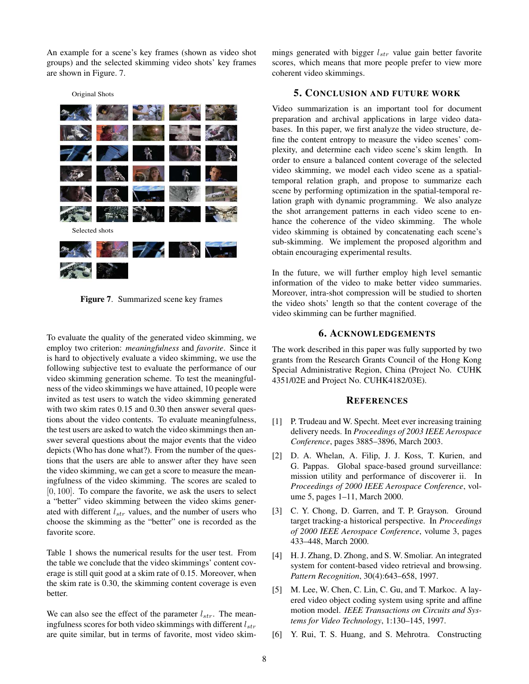An example for a scene's key frames (shown as video shot groups) and the selected skimming video shots' key frames are shown in Figure. 7.

Original Shots



**Figure 7**. Summarized scene key frames

To evaluate the quality of the generated video skimming, we employ two criterion: *meaningfulness* and *favorite*. Since it is hard to objectively evaluate a video skimming, we use the following subjective test to evaluate the performance of our video skimming generation scheme. To test the meaningfulness of the video skimmings we have attained, 10 people were invited as test users to watch the video skimming generated with two skim rates 0.15 and 0.30 then answer several questions about the video contents. To evaluate meaningfulness, the test users are asked to watch the video skimmings then answer several questions about the major events that the video depicts (Who has done what?). From the number of the questions that the users are able to answer after they have seen the video skimming, we can get a score to measure the meaningfulness of the video skimming. The scores are scaled to  $[0, 100]$ . To compare the favorite, we ask the users to select a "better" video skimming between the video skims generated with different  $l_{str}$  values, and the number of users who choose the skimming as the "better" one is recorded as the favorite score.

Table 1 shows the numerical results for the user test. From the table we conclude that the video skimmings' content coverage is still quit good at a skim rate of 0.15. Moreover, when the skim rate is 0.30, the skimming content coverage is even better.

We can also see the effect of the parameter  $l_{str}$ . The meaningfulness scores for both video skimmings with different  $l_{str}$ are quite similar, but in terms of favorite, most video skimmings generated with bigger  $l_{str}$  value gain better favorite scores, which means that more people prefer to view more coherent video skimmings.

#### **5. CONCLUSION AND FUTURE WORK**

Video summarization is an important tool for document preparation and archival applications in large video databases. In this paper, we first analyze the video structure, define the content entropy to measure the video scenes' complexity, and determine each video scene's skim length. In order to ensure a balanced content coverage of the selected video skimming, we model each video scene as a spatialtemporal relation graph, and propose to summarize each scene by performing optimization in the spatial-temporal relation graph with dynamic programming. We also analyze the shot arrangement patterns in each video scene to enhance the coherence of the video skimming. The whole video skimming is obtained by concatenating each scene's sub-skimming. We implement the proposed algorithm and obtain encouraging experimental results.

In the future, we will further employ high level semantic information of the video to make better video summaries. Moreover, intra-shot compression will be studied to shorten the video shots' length so that the content coverage of the video skimming can be further magnified.

### **6. ACKNOWLEDGEMENTS**

The work described in this paper was fully supported by two grants from the Research Grants Council of the Hong Kong Special Administrative Region, China (Project No. CUHK 4351/02E and Project No. CUHK4182/03E).

#### **REFERENCES**

- [1] P. Trudeau and W. Specht. Meet ever increasing training delivery needs. In *Proceedings of 2003 IEEE Aerospace Conference*, pages 3885–3896, March 2003.
- [2] D. A. Whelan, A. Filip, J. J. Koss, T. Kurien, and G. Pappas. Global space-based ground surveillance: mission utility and performance of discoverer ii. In *Proceedings of 2000 IEEE Aerospace Conference*, volume 5, pages 1–11, March 2000.
- [3] C. Y. Chong, D. Garren, and T. P. Grayson. Ground target tracking-a historical perspective. In *Proceedings of 2000 IEEE Aerospace Conference*, volume 3, pages 433–448, March 2000.
- [4] H. J. Zhang, D. Zhong, and S. W. Smoliar. An integrated system for content-based video retrieval and browsing. *Pattern Recognition*, 30(4):643–658, 1997.
- [5] M. Lee, W. Chen, C. Lin, C. Gu, and T. Markoc. A layered video object coding system using sprite and affine motion model. *IEEE Transactions on Circuits and Systems for Video Technology*, 1:130–145, 1997.
- [6] Y. Rui, T. S. Huang, and S. Mehrotra. Constructing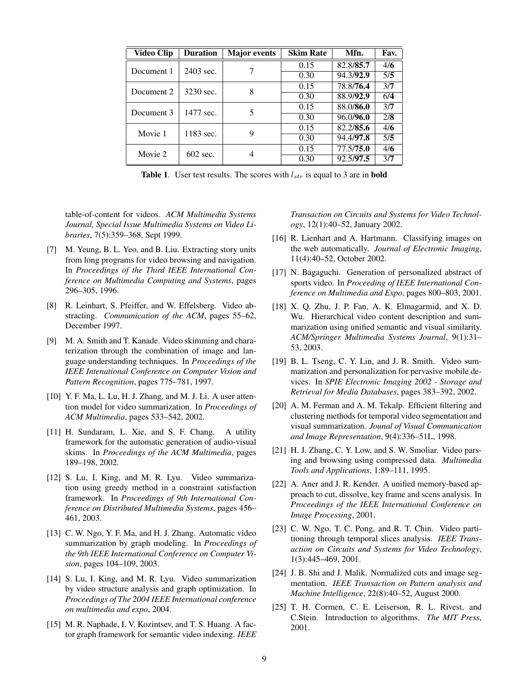| <b>Video Clip</b> | <b>Duration</b> | <b>Major</b> events | <b>Skim Rate</b> | Mfn.      | Fav. |
|-------------------|-----------------|---------------------|------------------|-----------|------|
| Document 1        | 2403 sec.       |                     | 0.15             | 82.8/85.7 | 4/6  |
|                   |                 |                     | 0.30             | 94.3/92.9 | 5/5  |
| Document 2        | 3230 sec.       | 8                   | 0.15             | 78.8/76.4 | 3/7  |
|                   |                 |                     | 0.30             | 88.9/92.9 | 6/4  |
| Document 3        | 1477 sec.       | 5                   | 0.15             | 88.0/86.0 | 3/7  |
|                   |                 |                     | 0.30             | 96.0/96.0 | 2/8  |
| Movie 1           | 1183 sec.       | 9                   | 0.15             | 82.2/85.6 | 4/6  |
|                   |                 |                     | 0.30             | 94.4/97.8 | 5/5  |
| Movie 2           | 602 sec.        | 4                   | 0.15             | 77.5/75.0 | 4/6  |
|                   |                 |                     | 0.30             | 92.5/97.5 | 3/7  |

**Table 1.** User test results. The scores with  $l_{str}$  is equal to 3 are in **bold** 

table-of-content for videos. *ACM Multimedia Systems Journal, Special Issue Multimedia Systems on Video Libraries*, 7(5):359–368, Sept 1999.

- [7] M. Yeung, B. L. Yeo, and B. Liu. Extracting story units from long programs for video browsing and navigation. In *Proceedings of the Third IEEE International Conference on Multimedia Computing and Systems*, pages 296–305, 1996.
- [8] R. Leinhart, S. Pfeiffer, and W. Effelsberg. Video abstracting. *Communication of the ACM*, pages 55–62, December 1997.
- [9] M. A. Smith and T. Kanade. Video skimming and charaterization through the combination of image and language understanding techniques. In *Proceedings of the IEEE Intenational Conference on Computer Vision and Pattern Recognition*, pages 775–781, 1997.
- [10] Y. F. Ma, L. Lu, H. J. Zhang, and M. J. Li. A user attention model for video summarization. In *Proceedings of ACM Multimedia*, pages 533–542, 2002.
- [11] H. Sundaram, L. Xie, and S. F. Chang. A utility framework for the automatic generation of audio-visual skims. In *Proceedings of the ACM Multimedia*, pages 189–198, 2002.
- [12] S. Lu, I. King, and M. R. Lyu. Video summarization using greedy method in a constraint satisfaction framework. In *Proceedings of 9th International Conference on Distributed Multimedia Systems*, pages 456– 461, 2003.
- [13] C. W. Ngo, Y. F. Ma, and H. J. Zhang. Automatic video summarization by graph modeling. In *Proceedings of the 9th IEEE International Conference on Computer Vision*, pages 104–109, 2003.
- [14] S. Lu, I. King, and M. R. Lyu. Video summarization by video structure analysis and graph optimization. In *Proceedings of The 2004 IEEE International conference on multimedia and expo*, 2004.
- [15] M. R. Naphade, I. V. Kozintsev, and T. S. Huang. A factor graph framework for semantic video indexing. *IEEE*

*Transaction on Circuits and Systems for Video Technology*, 12(1):40–52, January 2002.

- [16] R. Lienhart and A. Hartmann. Classifying images on the web automatically. *Journal of Electronic Imaging*, 11(4):40–52, October 2002.
- [17] N. Bagaguchi. Generation of personalized abstract of sports video. In *Proceeding of IEEE International Conference on Multimedia and Expo*, pages 800–803, 2001.
- [18] X. Q. Zhu, J. P. Fan, A. K. Elmagarmid, and X. D. Wu. Hierarchical video content description and summarization using unified semantic and visual similarity. *ACM/Springer Multimedia Systems Journal*, 9(1):31– 53, 2003.
- [19] B. L. Tseng, C. Y. Lin, and J. R. Smith. Video summarization and personalization for pervasive mobile devices. In *SPIE Electronic Imaging 2002 - Storage and Retrieval for Media Databases*, pages 383–392, 2002.
- [20] A. M. Ferman and A. M. Tekalp. Efficient filtering and clustering methods for temporal video segmentation and visual summarization. *Jounal of Visual Communication and Image Representation*, 9(4):336–51L, 1998.
- [21] H. J. Zhang, C. Y. Low, and S. W. Smoliar. Video parsing and browsing using compressed data. *Multimedia Tools and Applications*, 1:89–111, 1995.
- [22] A. Aner and J. R. Kender. A unified memory-based approach to cut, dissolve, key frame and scens analysis. In *Proceedings of the IEEE International Conference on Image Processing*, 2001.
- [23] C. W. Ngo, T. C. Pong, and R. T. Chin. Video partitioning through temporal slices analysis. *IEEE Transaction on Circuits and Systems for Video Technology*, 1(3):445–469, 2001.
- [24] J. B. Shi and J. Malik. Normalized cuts and image segmentation. *IEEE Transaction on Pattern analysis and Machine Intelligence*, 22(8):40–52, August 2000.
- [25] T. H. Cormen, C. E. Leiserson, R. L. Rivest, and C.Stein. Introduction to algorithms. *The MIT Press*, 2001.